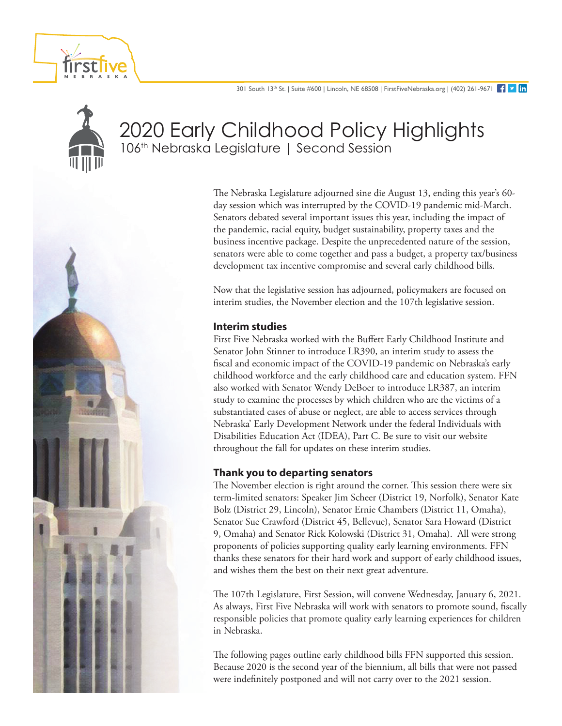



# 2020 Early Childhood Policy Highlights 106<sup>th</sup> Nebraska Legislature | Second Session

The Nebraska Legislature adjourned sine die August 13, ending this year's 60 day session which was interrupted by the COVID-19 pandemic mid-March. Senators debated several important issues this year, including the impact of the pandemic, racial equity, budget sustainability, property taxes and the business incentive package. Despite the unprecedented nature of the session, senators were able to come together and pass a budget, a property tax/business development tax incentive compromise and several early childhood bills.

Now that the legislative session has adjourned, policymakers are focused on interim studies, the November election and the 107th legislative session.

#### **Interim studies**

First Five Nebraska worked with the Buffett Early Childhood Institute and Senator John Stinner to introduce LR390, an interim study to assess the fiscal and economic impact of the COVID-19 pandemic on Nebraska's early childhood workforce and the early childhood care and education system. FFN also worked with Senator Wendy DeBoer to introduce LR387, an interim study to examine the processes by which children who are the victims of a substantiated cases of abuse or neglect, are able to access services through Nebraska' Early Development Network under the federal Individuals with Disabilities Education Act (IDEA), Part C. Be sure to visit our website throughout the fall for updates on these interim studies.

### **Thank you to departing senators**

The November election is right around the corner. This session there were six term-limited senators: Speaker Jim Scheer (District 19, Norfolk), Senator Kate Bolz (District 29, Lincoln), Senator Ernie Chambers (District 11, Omaha), Senator Sue Crawford (District 45, Bellevue), Senator Sara Howard (District 9, Omaha) and Senator Rick Kolowski (District 31, Omaha). All were strong proponents of policies supporting quality early learning environments. FFN thanks these senators for their hard work and support of early childhood issues, and wishes them the best on their next great adventure.

The 107th Legislature, First Session, will convene Wednesday, January 6, 2021. As always, First Five Nebraska will work with senators to promote sound, fiscally responsible policies that promote quality early learning experiences for children in Nebraska.

The following pages outline early childhood bills FFN supported this session. Because 2020 is the second year of the biennium, all bills that were not passed were indefinitely postponed and will not carry over to the 2021 session.

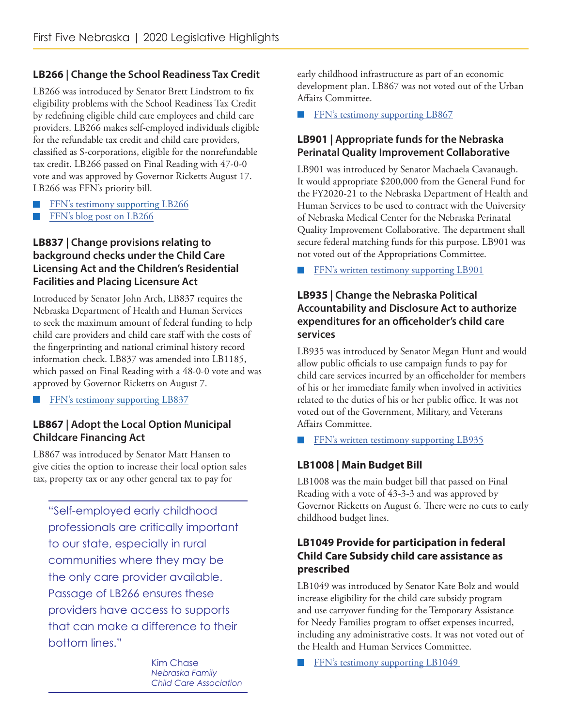# **LB266 | Change the School Readiness Tax Credit**

LB266 was introduced by Senator Brett Lindstrom to fix eligibility problems with the School Readiness Tax Credit by redefining eligible child care employees and child care providers. LB266 makes self-employed individuals eligible for the refundable tax credit and child care providers, classified as S-corporations, eligible for the nonrefundable tax credit. LB266 passed on Final Reading with 47-0-0 vote and was approved by Governor Ricketts August 17. LB266 was FFN's priority bill.

- FFN's testimony supporting LB266 ■
- FFN's blog post on LB266 ■

# **LB837 | Change provisions relating to background checks under the Child Care Licensing Act and the Children's Residential Facilities and Placing Licensure Act**

Introduced by Senator John Arch, LB837 requires the Nebraska Department of Health and Human Services to seek the maximum amount of federal funding to help child care providers and child care staff with the costs of the fingerprinting and national criminal history record information check. LB837 was amended into LB1185, which passed on Final Reading with a 48-0-0 vote and was approved by Governor Ricketts on August 7.

[FFN's testimony supporting LB837](https://www.firstfivenebraska.org/wp-content/uploads/2020/11/LB837_letter_of_support_2020_First_Five_Nebraska.pdf) ■

# **LB867 | Adopt the Local Option Municipal Childcare Financing Act**

LB867 was introduced by Senator Matt Hansen to give cities the option to increase their local option sales tax, property tax or any other general tax to pay for

"Self-employed early childhood professionals are critically important to our state, especially in rural communities where they may be the only care provider available. Passage of LB266 ensures these providers have access to supports that can make a difference to their bottom lines."

> Kim Chase *Nebraska Family Child Care Association*

early childhood infrastructure as part of an economic development plan. LB867 was not voted out of the Urban Affairs Committee.

**EFN's testimony supporting LB867** 

# **LB901 | Appropriate funds for the Nebraska Perinatal Quality Improvement Collaborative**

LB901 was introduced by Senator Machaela Cavanaugh. It would appropriate \$200,000 from the General Fund for the FY2020-21 to the Nebraska Department of Health and Human Services to be used to contract with the University of Nebraska Medical Center for the Nebraska Perinatal Quality Improvement Collaborative. The department shall secure federal matching funds for this purpose. LB901 was not voted out of the Appropriations Committee.

FFN's written testimony supporting LB901 ■

### **LB935 | Change the Nebraska Political Accountability and Disclosure Act to authorize expenditures for an officeholder's child care services**

LB935 was introduced by Senator Megan Hunt and would allow public officials to use campaign funds to pay for child care services incurred by an officeholder for members of his or her immediate family when involved in activities related to the duties of his or her public office. It was not voted out of the Government, Military, and Veterans Affairs Committee.

**EFN's written testimony supporting LB935** 

# **LB1008 | Main Budget Bill**

LB1008 was the main budget bill that passed on Final Reading with a vote of 43-3-3 and was approved by Governor Ricketts on August 6. There were no cuts to early childhood budget lines.

# **LB1049 Provide for participation in federal Child Care Subsidy child care assistance as prescribed**

LB1049 was introduced by Senator Kate Bolz and would increase eligibility for the child care subsidy program and use carryover funding for the Temporary Assistance for Needy Families program to offset expenses incurred, including any administrative costs. It was not voted out of the Health and Human Services Committee.

[FFN's testimony supporting LB1049](https://www.firstfivenebraska.org/wp-content/uploads/2020/11/LB1049_letter_of_support_First_Five_Nebraska_2020.pdf)  ■